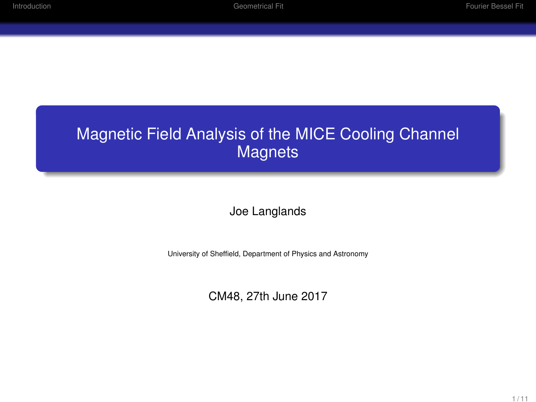### Magnetic Field Analysis of the MICE Cooling Channel **Magnets**

Joe Langlands

University of Sheffield, Department of Physics and Astronomy

CM48, 27th June 2017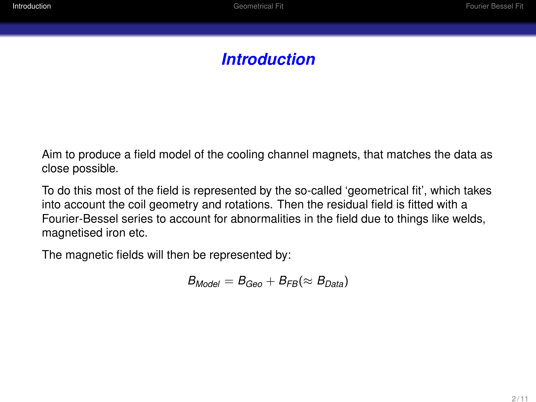# *Introduction*

<span id="page-1-0"></span>Aim to produce a field model of the cooling channel magnets, that matches the data as close possible.

To do this most of the field is represented by the so-called 'geometrical fit', which takes into account the coil geometry and rotations. Then the residual field is fitted with a Fourier-Bessel series to account for abnormalities in the field due to things like welds, magnetised iron etc.

The magnetic fields will then be represented by:

$$
B_{Model}=B_{Geo}+B_{FB}(\approx B_{Data})
$$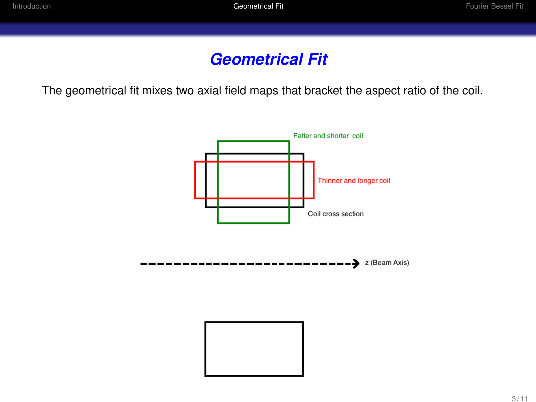## *Geometrical Fit*

<span id="page-2-0"></span>The geometrical fit mixes two axial field maps that bracket the aspect ratio of the coil.

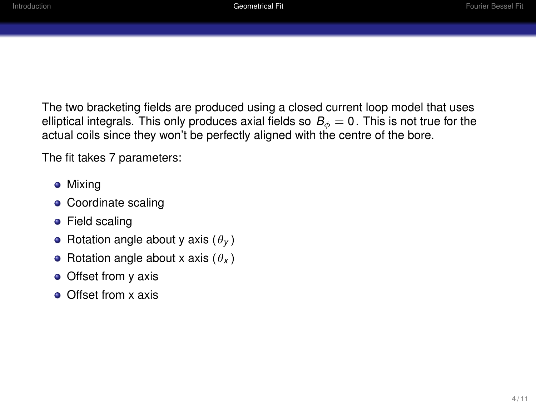The two bracketing fields are produced using a closed current loop model that uses elliptical integrals. This only produces axial fields so  $B_{\phi} = 0$ . This is not true for the actual coils since they won't be perfectly aligned with the centre of the bore.

The fit takes 7 parameters:

- **•** Mixing
- Coordinate scaling
- **•** Field scaling
- Rotation angle about y axis  $(\theta_V)$
- Rotation angle about x axis  $(\theta_X)$
- Offset from y axis
- **Offset from x axis**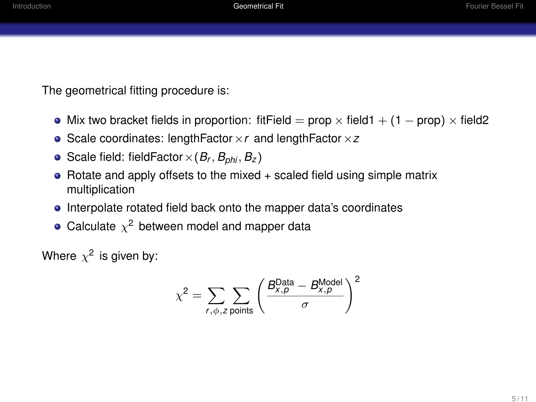The geometrical fitting procedure is:

- Mix two bracket fields in proportion: fitField = prop  $\times$  field1 + (1 prop)  $\times$  field2
- Scale coordinates: lengthFactor×*r* and lengthFactor×*z*
- Scale field: fieldFactor  $\times$  ( $B_r$ ,  $B_{phi}$ ,  $B_z$ )
- $\bullet$  Rotate and apply offsets to the mixed  $+$  scaled field using simple matrix multiplication
- Interpolate rotated field back onto the mapper data's coordinates
- Calculate  $\chi^2$  between model and mapper data

Where  $\chi^2$  is given by:

$$
\chi^2 = \sum_{r,\phi,z} \sum_{\text{points}} \left( \frac{B_{x,\rho}^{\text{Data}} - B_{x,\rho}^{\text{Model}}}{\sigma} \right)^2
$$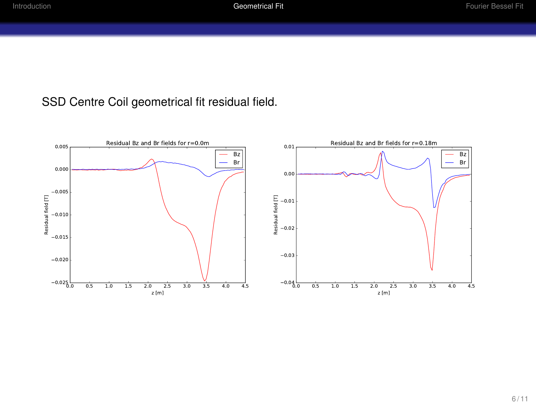#### SSD Centre Coil geometrical fit residual field.

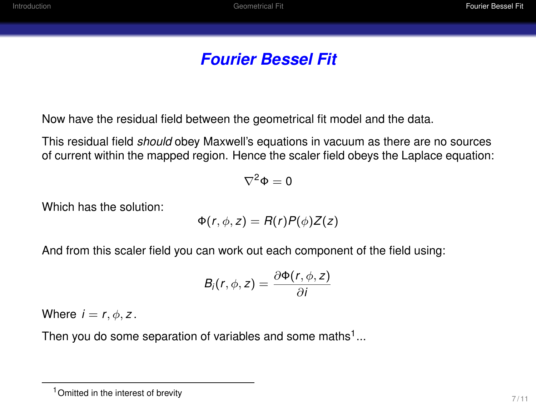# *Fourier Bessel Fit*

<span id="page-6-0"></span>Now have the residual field between the geometrical fit model and the data.

This residual field *should* obey Maxwell's equations in vacuum as there are no sources of current within the mapped region. Hence the scaler field obeys the Laplace equation:

$$
\nabla^2\Phi=0
$$

Which has the solution:

$$
\Phi(r,\phi,z)=R(r)P(\phi)Z(z)
$$

And from this scaler field you can work out each component of the field using:

$$
B_i(r,\phi,z)=\frac{\partial \Phi(r,\phi,z)}{\partial i}
$$

Where  $i = r, \phi, z$ .

Then you do some separation of variables and some maths<sup>1</sup>...

<sup>1</sup>Omitted in the interest of brevity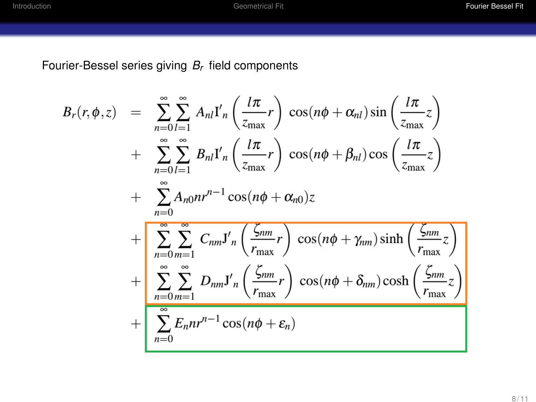Fourier-Bessel series giving *Br* field components

$$
B_r(r, \phi, z) = \sum_{n=0}^{\infty} \sum_{l=1}^{\infty} A_{nl} I'_n \left( \frac{l\pi}{z_{\text{max}}} r \right) \cos(n\phi + \alpha_{nl}) \sin \left( \frac{l\pi}{z_{\text{max}}} z \right)
$$
  
+ 
$$
\sum_{n=0}^{\infty} \sum_{l=1}^{\infty} B_{nl} I'_n \left( \frac{l\pi}{z_{\text{max}}} r \right) \cos(n\phi + \beta_{nl}) \cos \left( \frac{l\pi}{z_{\text{max}}} z \right)
$$
  
+ 
$$
\sum_{n=0}^{\infty} A_{n0} nr^{n-1} \cos(n\phi + \alpha_{n0}) z
$$
  
+ 
$$
\sum_{n=0}^{\infty} \sum_{m=1}^{\infty} C_{nm} J'_n \left( \frac{\zeta_{nm}}{r_{\text{max}}} r \right) \cos(n\phi + \gamma_{nm}) \sinh \left( \frac{\zeta_{nm}}{r_{\text{max}}} z \right)
$$
  
+ 
$$
\sum_{n=0}^{\infty} \sum_{m=1}^{\infty} D_{nm} J'_n \left( \frac{\zeta_{nm}}{r_{\text{max}}} r \right) \cos(n\phi + \delta_{nm}) \cosh \left( \frac{\zeta_{nm}}{r_{\text{max}}} z \right)
$$
  
+ 
$$
\sum_{n=0}^{\infty} E_n nr^{n-1} \cos(n\phi + \varepsilon_n)
$$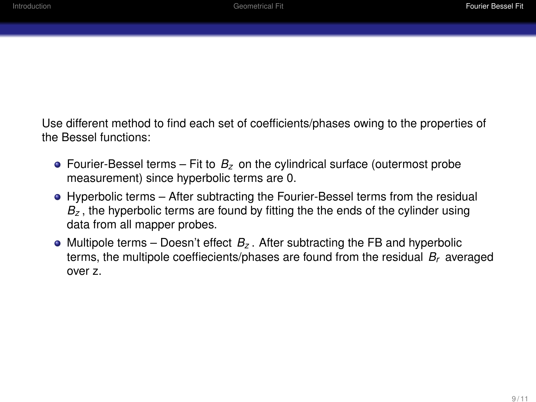Use different method to find each set of coefficients/phases owing to the properties of the Bessel functions:

- Fourier-Bessel terms Fit to  $B<sub>z</sub>$  on the cylindrical surface (outermost probe measurement) since hyperbolic terms are 0.
- Hyperbolic terms After subtracting the Fourier-Bessel terms from the residual  $B<sub>z</sub>$ , the hyperbolic terms are found by fitting the the ends of the cylinder using data from all mapper probes.
- $\bullet$  Multipole terms Doesn't effect  $B_z$ . After subtracting the FB and hyperbolic terms, the multipole coeffiecients/phases are found from the residual *Br* averaged over z.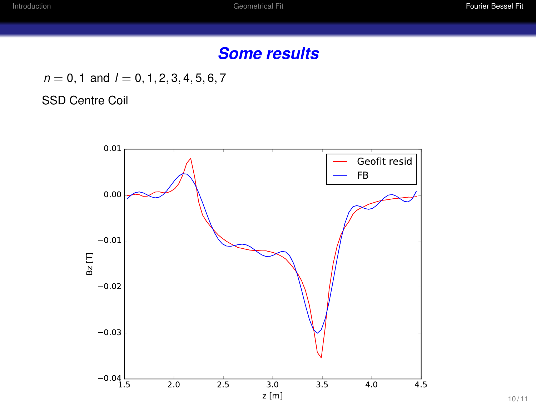## *Some results*

 $n = 0, 1$  and  $l = 0, 1, 2, 3, 4, 5, 6, 7$ 

SSD Centre Coil